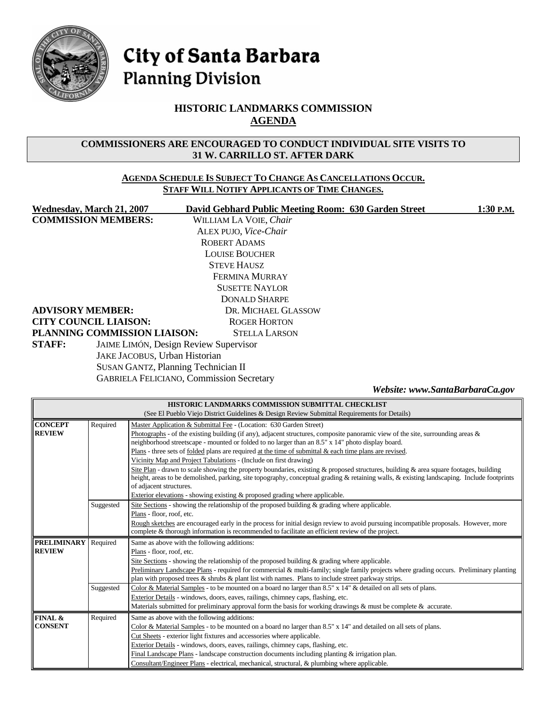

# City of Santa Barbara **Planning Division**

### **HISTORIC LANDMARKS COMMISSION AGENDA**

#### **COMMISSIONERS ARE ENCOURAGED TO CONDUCT INDIVIDUAL SITE VISITS TO 31 W. CARRILLO ST. AFTER DARK**

#### **AGENDA SCHEDULE IS SUBJECT TO CHANGE AS CANCELLATIONS OCCUR. STAFF WILL NOTIFY APPLICANTS OF TIME CHANGES.**

| <b>COMMISSION MEMBERS:</b><br>WILLIAM LA VOIE, Chair<br>ALEX PUJO, Vice-Chair<br><b>ROBERT ADAMS</b><br><b>LOUISE BOUCHER</b><br><b>STEVE HAUSZ</b><br>FERMINA MURRAY<br><b>SUSETTE NAYLOR</b><br><b>DONALD SHARPE</b><br><b>ADVISORY MEMBER:</b><br>DR. MICHAEL GLASSOW<br><b>CITY COUNCIL LIAISON:</b><br><b>ROGER HORTON</b><br>PLANNING COMMISSION LIAISON:<br><b>STELLA LARSON</b><br><b>STAFF:</b><br><b>JAIME LIMÓN, Design Review Supervisor</b><br>JAKE JACOBUS, Urban Historian<br><b>SUSAN GANTZ, Planning Technician II</b><br><b>GABRIELA FELICIANO, Commission Secretary</b><br>Website: www.SantaBarbaraCa.gov<br>HISTORIC LANDMARKS COMMISSION SUBMITTAL CHECKLIST<br>(See El Pueblo Viejo District Guidelines & Design Review Submittal Requirements for Details)<br><b>CONCEPT</b><br>Required<br>Master Application & Submittal Fee - (Location: 630 Garden Street)<br><b>REVIEW</b><br>Photographs - of the existing building (if any), adjacent structures, composite panoramic view of the site, surrounding areas &<br>neighborhood streetscape - mounted or folded to no larger than an 8.5" x 14" photo display board.<br>Plans - three sets of folded plans are required at the time of submittal $\&$ each time plans are revised.<br>Vicinity Map and Project Tabulations - (Include on first drawing)<br>Site Plan - drawn to scale showing the property boundaries, existing & proposed structures, building & area square footages, building<br>height, areas to be demolished, parking, site topography, conceptual grading & retaining walls, & existing landscaping. Include footprints<br>of adjacent structures.<br>Exterior elevations - showing existing & proposed grading where applicable.<br>Site Sections - showing the relationship of the proposed building & grading where applicable.<br>Suggested<br>Plans - floor, roof, etc.<br>Rough sketches are encouraged early in the process for initial design review to avoid pursuing incompatible proposals. However, more<br>complete & thorough information is recommended to facilitate an efficient review of the project.<br><b>PRELIMINARY</b><br>Required<br>Same as above with the following additions:<br><b>REVIEW</b><br>Plans - floor, roof, etc.<br>Site Sections - showing the relationship of the proposed building & grading where applicable.<br>Preliminary Landscape Plans - required for commercial & multi-family; single family projects where grading occurs. Preliminary planting<br>plan with proposed trees $\&$ shrubs $\&$ plant list with names. Plans to include street parkway strips.<br>Color & Material Samples - to be mounted on a board no larger than 8.5" x 14" & detailed on all sets of plans.<br>Suggested<br>Exterior Details - windows, doors, eaves, railings, chimney caps, flashing, etc.<br>Materials submitted for preliminary approval form the basis for working drawings & must be complete & accurate.<br>FINAL &<br>Required<br>Same as above with the following additions:<br><b>CONSENT</b><br>Color & Material Samples - to be mounted on a board no larger than $8.5" \times 14"$ and detailed on all sets of plans.<br>Cut Sheets - exterior light fixtures and accessories where applicable.<br>Exterior Details - windows, doors, eaves, railings, chimney caps, flashing, etc.<br>Final Landscape Plans - landscape construction documents including planting $\&$ irrigation plan. | <b>Wednesday, March 21, 2007</b> |  | David Gebhard Public Meeting Room: 630 Garden Street<br>1:30 P.M.                            |  |  |  |  |
|-----------------------------------------------------------------------------------------------------------------------------------------------------------------------------------------------------------------------------------------------------------------------------------------------------------------------------------------------------------------------------------------------------------------------------------------------------------------------------------------------------------------------------------------------------------------------------------------------------------------------------------------------------------------------------------------------------------------------------------------------------------------------------------------------------------------------------------------------------------------------------------------------------------------------------------------------------------------------------------------------------------------------------------------------------------------------------------------------------------------------------------------------------------------------------------------------------------------------------------------------------------------------------------------------------------------------------------------------------------------------------------------------------------------------------------------------------------------------------------------------------------------------------------------------------------------------------------------------------------------------------------------------------------------------------------------------------------------------------------------------------------------------------------------------------------------------------------------------------------------------------------------------------------------------------------------------------------------------------------------------------------------------------------------------------------------------------------------------------------------------------------------------------------------------------------------------------------------------------------------------------------------------------------------------------------------------------------------------------------------------------------------------------------------------------------------------------------------------------------------------------------------------------------------------------------------------------------------------------------------------------------------------------------------------------------------------------------------------------------------------------------------------------------------------------------------------------------------------------------------------------------------------------------------------------------------------------------------------------------------------------------------------------------------------------------------------------------------------------------------------------------------------------------------------------------------------------------------------------------------------------------------------------------------------------------------------------------------------------------------------------------------------------------------------------------------------|----------------------------------|--|----------------------------------------------------------------------------------------------|--|--|--|--|
|                                                                                                                                                                                                                                                                                                                                                                                                                                                                                                                                                                                                                                                                                                                                                                                                                                                                                                                                                                                                                                                                                                                                                                                                                                                                                                                                                                                                                                                                                                                                                                                                                                                                                                                                                                                                                                                                                                                                                                                                                                                                                                                                                                                                                                                                                                                                                                                                                                                                                                                                                                                                                                                                                                                                                                                                                                                                                                                                                                                                                                                                                                                                                                                                                                                                                                                                                                                                                                               |                                  |  |                                                                                              |  |  |  |  |
|                                                                                                                                                                                                                                                                                                                                                                                                                                                                                                                                                                                                                                                                                                                                                                                                                                                                                                                                                                                                                                                                                                                                                                                                                                                                                                                                                                                                                                                                                                                                                                                                                                                                                                                                                                                                                                                                                                                                                                                                                                                                                                                                                                                                                                                                                                                                                                                                                                                                                                                                                                                                                                                                                                                                                                                                                                                                                                                                                                                                                                                                                                                                                                                                                                                                                                                                                                                                                                               |                                  |  |                                                                                              |  |  |  |  |
|                                                                                                                                                                                                                                                                                                                                                                                                                                                                                                                                                                                                                                                                                                                                                                                                                                                                                                                                                                                                                                                                                                                                                                                                                                                                                                                                                                                                                                                                                                                                                                                                                                                                                                                                                                                                                                                                                                                                                                                                                                                                                                                                                                                                                                                                                                                                                                                                                                                                                                                                                                                                                                                                                                                                                                                                                                                                                                                                                                                                                                                                                                                                                                                                                                                                                                                                                                                                                                               |                                  |  |                                                                                              |  |  |  |  |
|                                                                                                                                                                                                                                                                                                                                                                                                                                                                                                                                                                                                                                                                                                                                                                                                                                                                                                                                                                                                                                                                                                                                                                                                                                                                                                                                                                                                                                                                                                                                                                                                                                                                                                                                                                                                                                                                                                                                                                                                                                                                                                                                                                                                                                                                                                                                                                                                                                                                                                                                                                                                                                                                                                                                                                                                                                                                                                                                                                                                                                                                                                                                                                                                                                                                                                                                                                                                                                               |                                  |  |                                                                                              |  |  |  |  |
|                                                                                                                                                                                                                                                                                                                                                                                                                                                                                                                                                                                                                                                                                                                                                                                                                                                                                                                                                                                                                                                                                                                                                                                                                                                                                                                                                                                                                                                                                                                                                                                                                                                                                                                                                                                                                                                                                                                                                                                                                                                                                                                                                                                                                                                                                                                                                                                                                                                                                                                                                                                                                                                                                                                                                                                                                                                                                                                                                                                                                                                                                                                                                                                                                                                                                                                                                                                                                                               |                                  |  |                                                                                              |  |  |  |  |
|                                                                                                                                                                                                                                                                                                                                                                                                                                                                                                                                                                                                                                                                                                                                                                                                                                                                                                                                                                                                                                                                                                                                                                                                                                                                                                                                                                                                                                                                                                                                                                                                                                                                                                                                                                                                                                                                                                                                                                                                                                                                                                                                                                                                                                                                                                                                                                                                                                                                                                                                                                                                                                                                                                                                                                                                                                                                                                                                                                                                                                                                                                                                                                                                                                                                                                                                                                                                                                               |                                  |  |                                                                                              |  |  |  |  |
|                                                                                                                                                                                                                                                                                                                                                                                                                                                                                                                                                                                                                                                                                                                                                                                                                                                                                                                                                                                                                                                                                                                                                                                                                                                                                                                                                                                                                                                                                                                                                                                                                                                                                                                                                                                                                                                                                                                                                                                                                                                                                                                                                                                                                                                                                                                                                                                                                                                                                                                                                                                                                                                                                                                                                                                                                                                                                                                                                                                                                                                                                                                                                                                                                                                                                                                                                                                                                                               |                                  |  |                                                                                              |  |  |  |  |
|                                                                                                                                                                                                                                                                                                                                                                                                                                                                                                                                                                                                                                                                                                                                                                                                                                                                                                                                                                                                                                                                                                                                                                                                                                                                                                                                                                                                                                                                                                                                                                                                                                                                                                                                                                                                                                                                                                                                                                                                                                                                                                                                                                                                                                                                                                                                                                                                                                                                                                                                                                                                                                                                                                                                                                                                                                                                                                                                                                                                                                                                                                                                                                                                                                                                                                                                                                                                                                               |                                  |  |                                                                                              |  |  |  |  |
|                                                                                                                                                                                                                                                                                                                                                                                                                                                                                                                                                                                                                                                                                                                                                                                                                                                                                                                                                                                                                                                                                                                                                                                                                                                                                                                                                                                                                                                                                                                                                                                                                                                                                                                                                                                                                                                                                                                                                                                                                                                                                                                                                                                                                                                                                                                                                                                                                                                                                                                                                                                                                                                                                                                                                                                                                                                                                                                                                                                                                                                                                                                                                                                                                                                                                                                                                                                                                                               |                                  |  |                                                                                              |  |  |  |  |
|                                                                                                                                                                                                                                                                                                                                                                                                                                                                                                                                                                                                                                                                                                                                                                                                                                                                                                                                                                                                                                                                                                                                                                                                                                                                                                                                                                                                                                                                                                                                                                                                                                                                                                                                                                                                                                                                                                                                                                                                                                                                                                                                                                                                                                                                                                                                                                                                                                                                                                                                                                                                                                                                                                                                                                                                                                                                                                                                                                                                                                                                                                                                                                                                                                                                                                                                                                                                                                               |                                  |  |                                                                                              |  |  |  |  |
|                                                                                                                                                                                                                                                                                                                                                                                                                                                                                                                                                                                                                                                                                                                                                                                                                                                                                                                                                                                                                                                                                                                                                                                                                                                                                                                                                                                                                                                                                                                                                                                                                                                                                                                                                                                                                                                                                                                                                                                                                                                                                                                                                                                                                                                                                                                                                                                                                                                                                                                                                                                                                                                                                                                                                                                                                                                                                                                                                                                                                                                                                                                                                                                                                                                                                                                                                                                                                                               |                                  |  |                                                                                              |  |  |  |  |
|                                                                                                                                                                                                                                                                                                                                                                                                                                                                                                                                                                                                                                                                                                                                                                                                                                                                                                                                                                                                                                                                                                                                                                                                                                                                                                                                                                                                                                                                                                                                                                                                                                                                                                                                                                                                                                                                                                                                                                                                                                                                                                                                                                                                                                                                                                                                                                                                                                                                                                                                                                                                                                                                                                                                                                                                                                                                                                                                                                                                                                                                                                                                                                                                                                                                                                                                                                                                                                               |                                  |  |                                                                                              |  |  |  |  |
|                                                                                                                                                                                                                                                                                                                                                                                                                                                                                                                                                                                                                                                                                                                                                                                                                                                                                                                                                                                                                                                                                                                                                                                                                                                                                                                                                                                                                                                                                                                                                                                                                                                                                                                                                                                                                                                                                                                                                                                                                                                                                                                                                                                                                                                                                                                                                                                                                                                                                                                                                                                                                                                                                                                                                                                                                                                                                                                                                                                                                                                                                                                                                                                                                                                                                                                                                                                                                                               |                                  |  |                                                                                              |  |  |  |  |
|                                                                                                                                                                                                                                                                                                                                                                                                                                                                                                                                                                                                                                                                                                                                                                                                                                                                                                                                                                                                                                                                                                                                                                                                                                                                                                                                                                                                                                                                                                                                                                                                                                                                                                                                                                                                                                                                                                                                                                                                                                                                                                                                                                                                                                                                                                                                                                                                                                                                                                                                                                                                                                                                                                                                                                                                                                                                                                                                                                                                                                                                                                                                                                                                                                                                                                                                                                                                                                               |                                  |  |                                                                                              |  |  |  |  |
|                                                                                                                                                                                                                                                                                                                                                                                                                                                                                                                                                                                                                                                                                                                                                                                                                                                                                                                                                                                                                                                                                                                                                                                                                                                                                                                                                                                                                                                                                                                                                                                                                                                                                                                                                                                                                                                                                                                                                                                                                                                                                                                                                                                                                                                                                                                                                                                                                                                                                                                                                                                                                                                                                                                                                                                                                                                                                                                                                                                                                                                                                                                                                                                                                                                                                                                                                                                                                                               |                                  |  |                                                                                              |  |  |  |  |
|                                                                                                                                                                                                                                                                                                                                                                                                                                                                                                                                                                                                                                                                                                                                                                                                                                                                                                                                                                                                                                                                                                                                                                                                                                                                                                                                                                                                                                                                                                                                                                                                                                                                                                                                                                                                                                                                                                                                                                                                                                                                                                                                                                                                                                                                                                                                                                                                                                                                                                                                                                                                                                                                                                                                                                                                                                                                                                                                                                                                                                                                                                                                                                                                                                                                                                                                                                                                                                               |                                  |  |                                                                                              |  |  |  |  |
|                                                                                                                                                                                                                                                                                                                                                                                                                                                                                                                                                                                                                                                                                                                                                                                                                                                                                                                                                                                                                                                                                                                                                                                                                                                                                                                                                                                                                                                                                                                                                                                                                                                                                                                                                                                                                                                                                                                                                                                                                                                                                                                                                                                                                                                                                                                                                                                                                                                                                                                                                                                                                                                                                                                                                                                                                                                                                                                                                                                                                                                                                                                                                                                                                                                                                                                                                                                                                                               |                                  |  |                                                                                              |  |  |  |  |
|                                                                                                                                                                                                                                                                                                                                                                                                                                                                                                                                                                                                                                                                                                                                                                                                                                                                                                                                                                                                                                                                                                                                                                                                                                                                                                                                                                                                                                                                                                                                                                                                                                                                                                                                                                                                                                                                                                                                                                                                                                                                                                                                                                                                                                                                                                                                                                                                                                                                                                                                                                                                                                                                                                                                                                                                                                                                                                                                                                                                                                                                                                                                                                                                                                                                                                                                                                                                                                               |                                  |  |                                                                                              |  |  |  |  |
|                                                                                                                                                                                                                                                                                                                                                                                                                                                                                                                                                                                                                                                                                                                                                                                                                                                                                                                                                                                                                                                                                                                                                                                                                                                                                                                                                                                                                                                                                                                                                                                                                                                                                                                                                                                                                                                                                                                                                                                                                                                                                                                                                                                                                                                                                                                                                                                                                                                                                                                                                                                                                                                                                                                                                                                                                                                                                                                                                                                                                                                                                                                                                                                                                                                                                                                                                                                                                                               |                                  |  |                                                                                              |  |  |  |  |
|                                                                                                                                                                                                                                                                                                                                                                                                                                                                                                                                                                                                                                                                                                                                                                                                                                                                                                                                                                                                                                                                                                                                                                                                                                                                                                                                                                                                                                                                                                                                                                                                                                                                                                                                                                                                                                                                                                                                                                                                                                                                                                                                                                                                                                                                                                                                                                                                                                                                                                                                                                                                                                                                                                                                                                                                                                                                                                                                                                                                                                                                                                                                                                                                                                                                                                                                                                                                                                               |                                  |  |                                                                                              |  |  |  |  |
|                                                                                                                                                                                                                                                                                                                                                                                                                                                                                                                                                                                                                                                                                                                                                                                                                                                                                                                                                                                                                                                                                                                                                                                                                                                                                                                                                                                                                                                                                                                                                                                                                                                                                                                                                                                                                                                                                                                                                                                                                                                                                                                                                                                                                                                                                                                                                                                                                                                                                                                                                                                                                                                                                                                                                                                                                                                                                                                                                                                                                                                                                                                                                                                                                                                                                                                                                                                                                                               |                                  |  |                                                                                              |  |  |  |  |
|                                                                                                                                                                                                                                                                                                                                                                                                                                                                                                                                                                                                                                                                                                                                                                                                                                                                                                                                                                                                                                                                                                                                                                                                                                                                                                                                                                                                                                                                                                                                                                                                                                                                                                                                                                                                                                                                                                                                                                                                                                                                                                                                                                                                                                                                                                                                                                                                                                                                                                                                                                                                                                                                                                                                                                                                                                                                                                                                                                                                                                                                                                                                                                                                                                                                                                                                                                                                                                               |                                  |  |                                                                                              |  |  |  |  |
|                                                                                                                                                                                                                                                                                                                                                                                                                                                                                                                                                                                                                                                                                                                                                                                                                                                                                                                                                                                                                                                                                                                                                                                                                                                                                                                                                                                                                                                                                                                                                                                                                                                                                                                                                                                                                                                                                                                                                                                                                                                                                                                                                                                                                                                                                                                                                                                                                                                                                                                                                                                                                                                                                                                                                                                                                                                                                                                                                                                                                                                                                                                                                                                                                                                                                                                                                                                                                                               |                                  |  |                                                                                              |  |  |  |  |
|                                                                                                                                                                                                                                                                                                                                                                                                                                                                                                                                                                                                                                                                                                                                                                                                                                                                                                                                                                                                                                                                                                                                                                                                                                                                                                                                                                                                                                                                                                                                                                                                                                                                                                                                                                                                                                                                                                                                                                                                                                                                                                                                                                                                                                                                                                                                                                                                                                                                                                                                                                                                                                                                                                                                                                                                                                                                                                                                                                                                                                                                                                                                                                                                                                                                                                                                                                                                                                               |                                  |  |                                                                                              |  |  |  |  |
|                                                                                                                                                                                                                                                                                                                                                                                                                                                                                                                                                                                                                                                                                                                                                                                                                                                                                                                                                                                                                                                                                                                                                                                                                                                                                                                                                                                                                                                                                                                                                                                                                                                                                                                                                                                                                                                                                                                                                                                                                                                                                                                                                                                                                                                                                                                                                                                                                                                                                                                                                                                                                                                                                                                                                                                                                                                                                                                                                                                                                                                                                                                                                                                                                                                                                                                                                                                                                                               |                                  |  |                                                                                              |  |  |  |  |
|                                                                                                                                                                                                                                                                                                                                                                                                                                                                                                                                                                                                                                                                                                                                                                                                                                                                                                                                                                                                                                                                                                                                                                                                                                                                                                                                                                                                                                                                                                                                                                                                                                                                                                                                                                                                                                                                                                                                                                                                                                                                                                                                                                                                                                                                                                                                                                                                                                                                                                                                                                                                                                                                                                                                                                                                                                                                                                                                                                                                                                                                                                                                                                                                                                                                                                                                                                                                                                               |                                  |  |                                                                                              |  |  |  |  |
|                                                                                                                                                                                                                                                                                                                                                                                                                                                                                                                                                                                                                                                                                                                                                                                                                                                                                                                                                                                                                                                                                                                                                                                                                                                                                                                                                                                                                                                                                                                                                                                                                                                                                                                                                                                                                                                                                                                                                                                                                                                                                                                                                                                                                                                                                                                                                                                                                                                                                                                                                                                                                                                                                                                                                                                                                                                                                                                                                                                                                                                                                                                                                                                                                                                                                                                                                                                                                                               |                                  |  |                                                                                              |  |  |  |  |
|                                                                                                                                                                                                                                                                                                                                                                                                                                                                                                                                                                                                                                                                                                                                                                                                                                                                                                                                                                                                                                                                                                                                                                                                                                                                                                                                                                                                                                                                                                                                                                                                                                                                                                                                                                                                                                                                                                                                                                                                                                                                                                                                                                                                                                                                                                                                                                                                                                                                                                                                                                                                                                                                                                                                                                                                                                                                                                                                                                                                                                                                                                                                                                                                                                                                                                                                                                                                                                               |                                  |  |                                                                                              |  |  |  |  |
|                                                                                                                                                                                                                                                                                                                                                                                                                                                                                                                                                                                                                                                                                                                                                                                                                                                                                                                                                                                                                                                                                                                                                                                                                                                                                                                                                                                                                                                                                                                                                                                                                                                                                                                                                                                                                                                                                                                                                                                                                                                                                                                                                                                                                                                                                                                                                                                                                                                                                                                                                                                                                                                                                                                                                                                                                                                                                                                                                                                                                                                                                                                                                                                                                                                                                                                                                                                                                                               |                                  |  |                                                                                              |  |  |  |  |
|                                                                                                                                                                                                                                                                                                                                                                                                                                                                                                                                                                                                                                                                                                                                                                                                                                                                                                                                                                                                                                                                                                                                                                                                                                                                                                                                                                                                                                                                                                                                                                                                                                                                                                                                                                                                                                                                                                                                                                                                                                                                                                                                                                                                                                                                                                                                                                                                                                                                                                                                                                                                                                                                                                                                                                                                                                                                                                                                                                                                                                                                                                                                                                                                                                                                                                                                                                                                                                               |                                  |  |                                                                                              |  |  |  |  |
|                                                                                                                                                                                                                                                                                                                                                                                                                                                                                                                                                                                                                                                                                                                                                                                                                                                                                                                                                                                                                                                                                                                                                                                                                                                                                                                                                                                                                                                                                                                                                                                                                                                                                                                                                                                                                                                                                                                                                                                                                                                                                                                                                                                                                                                                                                                                                                                                                                                                                                                                                                                                                                                                                                                                                                                                                                                                                                                                                                                                                                                                                                                                                                                                                                                                                                                                                                                                                                               |                                  |  |                                                                                              |  |  |  |  |
|                                                                                                                                                                                                                                                                                                                                                                                                                                                                                                                                                                                                                                                                                                                                                                                                                                                                                                                                                                                                                                                                                                                                                                                                                                                                                                                                                                                                                                                                                                                                                                                                                                                                                                                                                                                                                                                                                                                                                                                                                                                                                                                                                                                                                                                                                                                                                                                                                                                                                                                                                                                                                                                                                                                                                                                                                                                                                                                                                                                                                                                                                                                                                                                                                                                                                                                                                                                                                                               |                                  |  |                                                                                              |  |  |  |  |
|                                                                                                                                                                                                                                                                                                                                                                                                                                                                                                                                                                                                                                                                                                                                                                                                                                                                                                                                                                                                                                                                                                                                                                                                                                                                                                                                                                                                                                                                                                                                                                                                                                                                                                                                                                                                                                                                                                                                                                                                                                                                                                                                                                                                                                                                                                                                                                                                                                                                                                                                                                                                                                                                                                                                                                                                                                                                                                                                                                                                                                                                                                                                                                                                                                                                                                                                                                                                                                               |                                  |  |                                                                                              |  |  |  |  |
|                                                                                                                                                                                                                                                                                                                                                                                                                                                                                                                                                                                                                                                                                                                                                                                                                                                                                                                                                                                                                                                                                                                                                                                                                                                                                                                                                                                                                                                                                                                                                                                                                                                                                                                                                                                                                                                                                                                                                                                                                                                                                                                                                                                                                                                                                                                                                                                                                                                                                                                                                                                                                                                                                                                                                                                                                                                                                                                                                                                                                                                                                                                                                                                                                                                                                                                                                                                                                                               |                                  |  |                                                                                              |  |  |  |  |
|                                                                                                                                                                                                                                                                                                                                                                                                                                                                                                                                                                                                                                                                                                                                                                                                                                                                                                                                                                                                                                                                                                                                                                                                                                                                                                                                                                                                                                                                                                                                                                                                                                                                                                                                                                                                                                                                                                                                                                                                                                                                                                                                                                                                                                                                                                                                                                                                                                                                                                                                                                                                                                                                                                                                                                                                                                                                                                                                                                                                                                                                                                                                                                                                                                                                                                                                                                                                                                               |                                  |  |                                                                                              |  |  |  |  |
|                                                                                                                                                                                                                                                                                                                                                                                                                                                                                                                                                                                                                                                                                                                                                                                                                                                                                                                                                                                                                                                                                                                                                                                                                                                                                                                                                                                                                                                                                                                                                                                                                                                                                                                                                                                                                                                                                                                                                                                                                                                                                                                                                                                                                                                                                                                                                                                                                                                                                                                                                                                                                                                                                                                                                                                                                                                                                                                                                                                                                                                                                                                                                                                                                                                                                                                                                                                                                                               |                                  |  |                                                                                              |  |  |  |  |
|                                                                                                                                                                                                                                                                                                                                                                                                                                                                                                                                                                                                                                                                                                                                                                                                                                                                                                                                                                                                                                                                                                                                                                                                                                                                                                                                                                                                                                                                                                                                                                                                                                                                                                                                                                                                                                                                                                                                                                                                                                                                                                                                                                                                                                                                                                                                                                                                                                                                                                                                                                                                                                                                                                                                                                                                                                                                                                                                                                                                                                                                                                                                                                                                                                                                                                                                                                                                                                               |                                  |  |                                                                                              |  |  |  |  |
|                                                                                                                                                                                                                                                                                                                                                                                                                                                                                                                                                                                                                                                                                                                                                                                                                                                                                                                                                                                                                                                                                                                                                                                                                                                                                                                                                                                                                                                                                                                                                                                                                                                                                                                                                                                                                                                                                                                                                                                                                                                                                                                                                                                                                                                                                                                                                                                                                                                                                                                                                                                                                                                                                                                                                                                                                                                                                                                                                                                                                                                                                                                                                                                                                                                                                                                                                                                                                                               |                                  |  |                                                                                              |  |  |  |  |
|                                                                                                                                                                                                                                                                                                                                                                                                                                                                                                                                                                                                                                                                                                                                                                                                                                                                                                                                                                                                                                                                                                                                                                                                                                                                                                                                                                                                                                                                                                                                                                                                                                                                                                                                                                                                                                                                                                                                                                                                                                                                                                                                                                                                                                                                                                                                                                                                                                                                                                                                                                                                                                                                                                                                                                                                                                                                                                                                                                                                                                                                                                                                                                                                                                                                                                                                                                                                                                               |                                  |  |                                                                                              |  |  |  |  |
|                                                                                                                                                                                                                                                                                                                                                                                                                                                                                                                                                                                                                                                                                                                                                                                                                                                                                                                                                                                                                                                                                                                                                                                                                                                                                                                                                                                                                                                                                                                                                                                                                                                                                                                                                                                                                                                                                                                                                                                                                                                                                                                                                                                                                                                                                                                                                                                                                                                                                                                                                                                                                                                                                                                                                                                                                                                                                                                                                                                                                                                                                                                                                                                                                                                                                                                                                                                                                                               |                                  |  |                                                                                              |  |  |  |  |
|                                                                                                                                                                                                                                                                                                                                                                                                                                                                                                                                                                                                                                                                                                                                                                                                                                                                                                                                                                                                                                                                                                                                                                                                                                                                                                                                                                                                                                                                                                                                                                                                                                                                                                                                                                                                                                                                                                                                                                                                                                                                                                                                                                                                                                                                                                                                                                                                                                                                                                                                                                                                                                                                                                                                                                                                                                                                                                                                                                                                                                                                                                                                                                                                                                                                                                                                                                                                                                               |                                  |  |                                                                                              |  |  |  |  |
|                                                                                                                                                                                                                                                                                                                                                                                                                                                                                                                                                                                                                                                                                                                                                                                                                                                                                                                                                                                                                                                                                                                                                                                                                                                                                                                                                                                                                                                                                                                                                                                                                                                                                                                                                                                                                                                                                                                                                                                                                                                                                                                                                                                                                                                                                                                                                                                                                                                                                                                                                                                                                                                                                                                                                                                                                                                                                                                                                                                                                                                                                                                                                                                                                                                                                                                                                                                                                                               |                                  |  |                                                                                              |  |  |  |  |
|                                                                                                                                                                                                                                                                                                                                                                                                                                                                                                                                                                                                                                                                                                                                                                                                                                                                                                                                                                                                                                                                                                                                                                                                                                                                                                                                                                                                                                                                                                                                                                                                                                                                                                                                                                                                                                                                                                                                                                                                                                                                                                                                                                                                                                                                                                                                                                                                                                                                                                                                                                                                                                                                                                                                                                                                                                                                                                                                                                                                                                                                                                                                                                                                                                                                                                                                                                                                                                               |                                  |  |                                                                                              |  |  |  |  |
|                                                                                                                                                                                                                                                                                                                                                                                                                                                                                                                                                                                                                                                                                                                                                                                                                                                                                                                                                                                                                                                                                                                                                                                                                                                                                                                                                                                                                                                                                                                                                                                                                                                                                                                                                                                                                                                                                                                                                                                                                                                                                                                                                                                                                                                                                                                                                                                                                                                                                                                                                                                                                                                                                                                                                                                                                                                                                                                                                                                                                                                                                                                                                                                                                                                                                                                                                                                                                                               |                                  |  | Consultant/Engineer Plans - electrical, mechanical, structural, & plumbing where applicable. |  |  |  |  |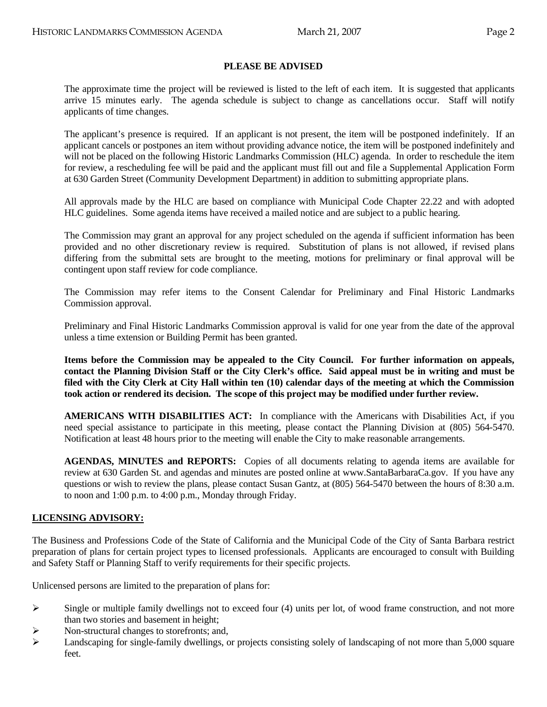#### **PLEASE BE ADVISED**

 The approximate time the project will be reviewed is listed to the left of each item. It is suggested that applicants arrive 15 minutes early. The agenda schedule is subject to change as cancellations occur. Staff will notify applicants of time changes.

 The applicant's presence is required. If an applicant is not present, the item will be postponed indefinitely. If an applicant cancels or postpones an item without providing advance notice, the item will be postponed indefinitely and will not be placed on the following Historic Landmarks Commission (HLC) agenda. In order to reschedule the item for review, a rescheduling fee will be paid and the applicant must fill out and file a Supplemental Application Form at 630 Garden Street (Community Development Department) in addition to submitting appropriate plans.

 All approvals made by the HLC are based on compliance with Municipal Code Chapter 22.22 and with adopted HLC guidelines. Some agenda items have received a mailed notice and are subject to a public hearing.

 The Commission may grant an approval for any project scheduled on the agenda if sufficient information has been provided and no other discretionary review is required. Substitution of plans is not allowed, if revised plans differing from the submittal sets are brought to the meeting, motions for preliminary or final approval will be contingent upon staff review for code compliance.

 The Commission may refer items to the Consent Calendar for Preliminary and Final Historic Landmarks Commission approval.

 Preliminary and Final Historic Landmarks Commission approval is valid for one year from the date of the approval unless a time extension or Building Permit has been granted.

**Items before the Commission may be appealed to the City Council. For further information on appeals, contact the Planning Division Staff or the City Clerk's office. Said appeal must be in writing and must be filed with the City Clerk at City Hall within ten (10) calendar days of the meeting at which the Commission took action or rendered its decision. The scope of this project may be modified under further review.** 

 **AMERICANS WITH DISABILITIES ACT:** In compliance with the Americans with Disabilities Act, if you need special assistance to participate in this meeting, please contact the Planning Division at (805) 564-5470. Notification at least 48 hours prior to the meeting will enable the City to make reasonable arrangements.

 **AGENDAS, MINUTES and REPORTS:** Copies of all documents relating to agenda items are available for review at 630 Garden St. and agendas and minutes are posted online at [www.SantaBarbaraCa.gov.](http://www.santabarbaraca.gov/) If you have any questions or wish to review the plans, please contact Susan Gantz, at (805) 564-5470 between the hours of 8:30 a.m. to noon and 1:00 p.m. to 4:00 p.m., Monday through Friday.

#### **LICENSING ADVISORY:**

The Business and Professions Code of the State of California and the Municipal Code of the City of Santa Barbara restrict preparation of plans for certain project types to licensed professionals. Applicants are encouraged to consult with Building and Safety Staff or Planning Staff to verify requirements for their specific projects.

Unlicensed persons are limited to the preparation of plans for:

- $\triangleright$  Single or multiple family dwellings not to exceed four (4) units per lot, of wood frame construction, and not more than two stories and basement in height;
- $\triangleright$  Non-structural changes to storefronts; and,
- $\blacktriangleright$  Landscaping for single-family dwellings, or projects consisting solely of landscaping of not more than 5,000 square feet.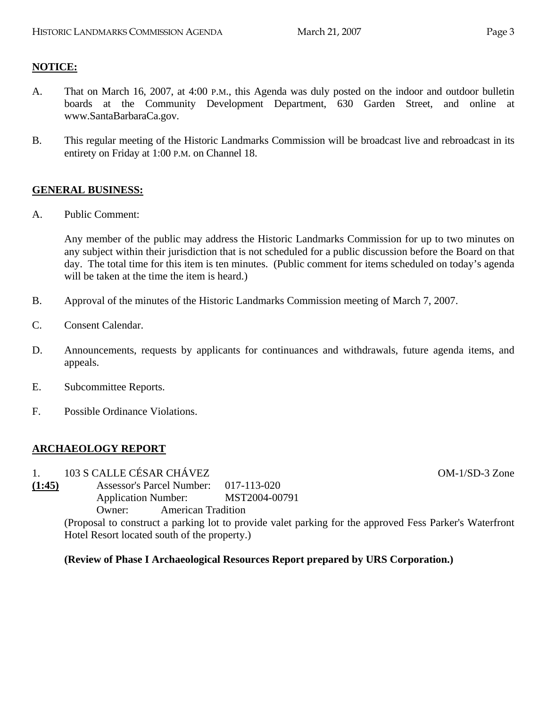# **NOTICE:**

- A. That on March 16, 2007, at 4:00 P.M., this Agenda was duly posted on the indoor and outdoor bulletin boards at the Community Development Department, 630 Garden Street, and online at www.SantaBarbaraCa.gov.
- B. This regular meeting of the Historic Landmarks Commission will be broadcast live and rebroadcast in its entirety on Friday at 1:00 P.M. on Channel 18.

#### **GENERAL BUSINESS:**

A. Public Comment:

Any member of the public may address the Historic Landmarks Commission for up to two minutes on any subject within their jurisdiction that is not scheduled for a public discussion before the Board on that day. The total time for this item is ten minutes. (Public comment for items scheduled on today's agenda will be taken at the time the item is heard.)

- B. Approval of the minutes of the Historic Landmarks Commission meeting of March 7, 2007.
- C. Consent Calendar.
- D. Announcements, requests by applicants for continuances and withdrawals, future agenda items, and appeals.
- E. Subcommittee Reports.
- F. Possible Ordinance Violations.

# **ARCHAEOLOGY REPORT**

#### 1. 103 S CALLE CÉSAR CHÁVEZ OM-1/SD-3 Zone

**(1:45)** Assessor's Parcel Number: 017-113-020 Application Number: MST2004-00791 Owner: American Tradition

> (Proposal to construct a parking lot to provide valet parking for the approved Fess Parker's Waterfront Hotel Resort located south of the property.)

**(Review of Phase I Archaeological Resources Report prepared by URS Corporation.)**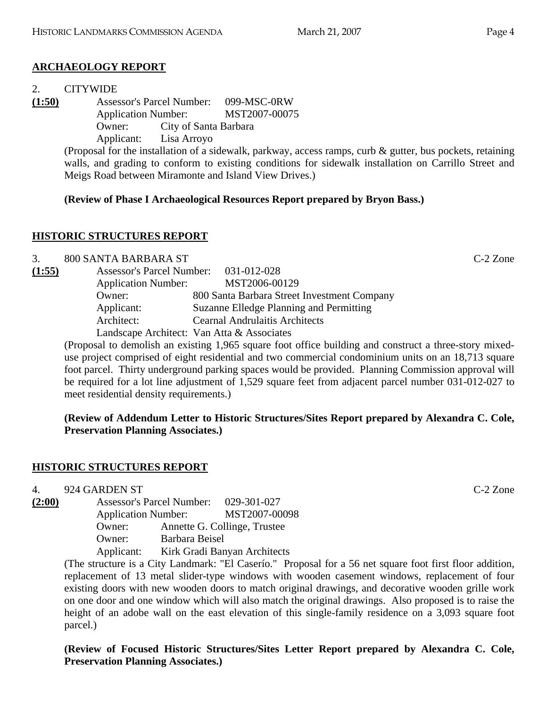# **ARCHAEOLOGY REPORT**

#### 2. CITYWIDE

**(1:50)** Assessor's Parcel Number: 099-MSC-0RW Application Number: MST2007-00075 Owner: City of Santa Barbara Applicant: Lisa Arroyo

> (Proposal for the installation of a sidewalk, parkway, access ramps, curb & gutter, bus pockets, retaining walls, and grading to conform to existing conditions for sidewalk installation on Carrillo Street and Meigs Road between Miramonte and Island View Drives.)

# **(Review of Phase I Archaeological Resources Report prepared by Bryon Bass.)**

# **HISTORIC STRUCTURES REPORT**

3. 800 SANTA BARBARA ST C-2 Zone **(1:55)** Assessor's Parcel Number: 031-012-028

| <i>(دد</i> .۱) | ASSUSSUL S FAILUI INHIIIUUI. | $U31-U12-U20$                               |
|----------------|------------------------------|---------------------------------------------|
|                | <b>Application Number:</b>   | MST2006-00129                               |
|                | Owner:                       | 800 Santa Barbara Street Investment Company |
|                | Applicant:                   | Suzanne Elledge Planning and Permitting     |
|                | Architect:                   | <b>Cearnal Andrulaitis Architects</b>       |
|                |                              | Landscape Architect: Van Atta & Associates  |

(Proposal to demolish an existing 1,965 square foot office building and construct a three-story mixeduse project comprised of eight residential and two commercial condominium units on an 18,713 square foot parcel. Thirty underground parking spaces would be provided. Planning Commission approval will be required for a lot line adjustment of 1,529 square feet from adjacent parcel number 031-012-027 to meet residential density requirements.)

**(Review of Addendum Letter to Historic Structures/Sites Report prepared by Alexandra C. Cole, Preservation Planning Associates.)** 

#### **HISTORIC STRUCTURES REPORT**

4. 924 GARDEN ST C-2 Zone

- 
- **(2:00)** Assessor's Parcel Number: 029-301-027 Application Number: MST2007-00098 Owner: Annette G. Collinge, Trustee

Owner: Barbara Beisel

Applicant: Kirk Gradi Banyan Architects

(The structure is a City Landmark: "El Caserío." Proposal for a 56 net square foot first floor addition, replacement of 13 metal slider-type windows with wooden casement windows, replacement of four existing doors with new wooden doors to match original drawings, and decorative wooden grille work on one door and one window which will also match the original drawings. Also proposed is to raise the height of an adobe wall on the east elevation of this single-family residence on a 3,093 square foot parcel.)

**(Review of Focused Historic Structures/Sites Letter Report prepared by Alexandra C. Cole, Preservation Planning Associates.)**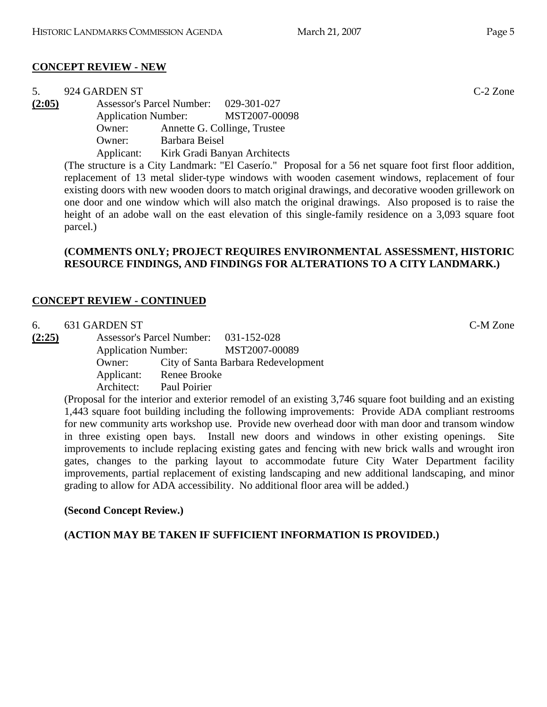# **CONCEPT REVIEW - NEW**

| 5.     | 924 GARDEN ST |                                                                                                       | $C-2$ Zone |
|--------|---------------|-------------------------------------------------------------------------------------------------------|------------|
| (2:05) |               | Assessor's Parcel Number: 029-301-027                                                                 |            |
|        |               | Application Number: MST2007-00098                                                                     |            |
|        | Owner:        | Annette G. Collinge, Trustee                                                                          |            |
|        | Owner:        | Barbara Beisel                                                                                        |            |
|        |               | Applicant: Kirk Gradi Banyan Architects                                                               |            |
|        |               | The etructure is a City Landmark. "El Casarío" Draposal for a 56 not square foot first floor addition |            |

(The structure is a City Landmark: "El Caserío." Proposal for a 56 net square foot first floor addition, replacement of 13 metal slider-type windows with wooden casement windows, replacement of four existing doors with new wooden doors to match original drawings, and decorative wooden grillework on one door and one window which will also match the original drawings. Also proposed is to raise the height of an adobe wall on the east elevation of this single-family residence on a 3,093 square foot parcel.)

#### **(COMMENTS ONLY; PROJECT REQUIRES ENVIRONMENTAL ASSESSMENT, HISTORIC RESOURCE FINDINGS, AND FINDINGS FOR ALTERATIONS TO A CITY LANDMARK.)**

# **CONCEPT REVIEW - CONTINUED**

| 6.     | 631 GARDEN ST |            |                                       |                                     |  |  | C-M Zone |
|--------|---------------|------------|---------------------------------------|-------------------------------------|--|--|----------|
| (2:25) |               |            | Assessor's Parcel Number: 031-152-028 |                                     |  |  |          |
|        |               |            |                                       | Application Number: MST2007-00089   |  |  |          |
|        |               | Owner:     |                                       | City of Santa Barbara Redevelopment |  |  |          |
|        |               | Applicant: | <b>Renee Brooke</b>                   |                                     |  |  |          |
|        |               | Architect: | Paul Poirier                          |                                     |  |  |          |
|        |               |            |                                       |                                     |  |  |          |

(Proposal for the interior and exterior remodel of an existing 3,746 square foot building and an existing 1,443 square foot building including the following improvements: Provide ADA compliant restrooms for new community arts workshop use. Provide new overhead door with man door and transom window in three existing open bays. Install new doors and windows in other existing openings. Site improvements to include replacing existing gates and fencing with new brick walls and wrought iron gates, changes to the parking layout to accommodate future City Water Department facility improvements, partial replacement of existing landscaping and new additional landscaping, and minor grading to allow for ADA accessibility. No additional floor area will be added.)

# **(Second Concept Review.)**

# **(ACTION MAY BE TAKEN IF SUFFICIENT INFORMATION IS PROVIDED.)**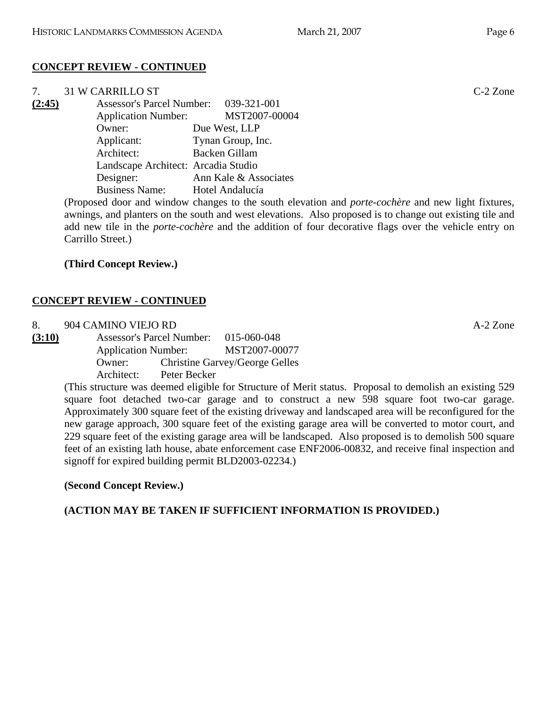# **CONCEPT REVIEW - CONTINUED**

| 7.     | <b>31 W CARRILLO ST</b>               |                                                                                                           | $C-2$ Zone |
|--------|---------------------------------------|-----------------------------------------------------------------------------------------------------------|------------|
| (2:45) | Assessor's Parcel Number: 039-321-001 |                                                                                                           |            |
|        | <b>Application Number:</b>            | MST2007-00004                                                                                             |            |
|        | Owner:                                | Due West, LLP                                                                                             |            |
|        | Applicant:                            | Tynan Group, Inc.                                                                                         |            |
|        | Architect:                            | Backen Gillam                                                                                             |            |
|        | Landscape Architect: Arcadia Studio   |                                                                                                           |            |
|        | Designer:                             | Ann Kale & Associates                                                                                     |            |
|        | <b>Business Name:</b>                 | Hotel Andalucía                                                                                           |            |
|        |                                       | (Proposed door and window changes to the south elevation and <i>porte-cochère</i> and new light fixtures, |            |

(dow changes to the south elevation and *porte-cochère* and new light fixtures, awnings, and planters on the south and west elevations. Also proposed is to change out existing tile and add new tile in the *porte-cochère* and the addition of four decorative flags over the vehicle entry on Carrillo Street.)

# **(Third Concept Review.)**

# **CONCEPT REVIEW - CONTINUED**

- 8. 904 CAMINO VIEJO RD A-2 Zone
- **(3:10)** Assessor's Parcel Number: 015-060-048 Application Number: MST2007-00077 Owner: Christine Garvey/George Gelles Architect: Peter Becker

(This structure was deemed eligible for Structure of Merit status. Proposal to demolish an existing 529 square foot detached two-car garage and to construct a new 598 square foot two-car garage. Approximately 300 square feet of the existing driveway and landscaped area will be reconfigured for the new garage approach, 300 square feet of the existing garage area will be converted to motor court, and 229 square feet of the existing garage area will be landscaped. Also proposed is to demolish 500 square feet of an existing lath house, abate enforcement case ENF2006-00832, and receive final inspection and signoff for expired building permit BLD2003-02234.)

**(Second Concept Review.)** 

# **(ACTION MAY BE TAKEN IF SUFFICIENT INFORMATION IS PROVIDED.)**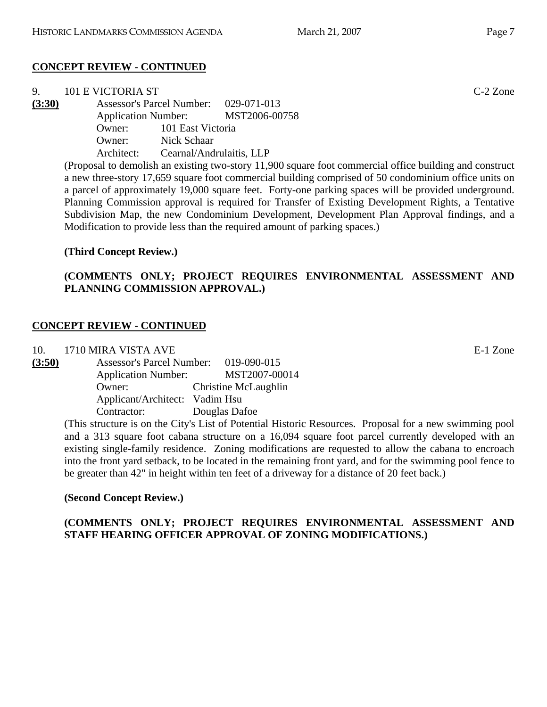# **CONCEPT REVIEW - CONTINUED**

| 9.     | 101 E VICTORIA ST |                                       |                                                                                                         | $C-2$ Zone |
|--------|-------------------|---------------------------------------|---------------------------------------------------------------------------------------------------------|------------|
| (3:30) |                   | Assessor's Parcel Number: 029-071-013 |                                                                                                         |            |
|        |                   |                                       | Application Number: MST2006-00758                                                                       |            |
|        |                   | Owner: 101 East Victoria              |                                                                                                         |            |
|        | Owner:            | Nick Schaar                           |                                                                                                         |            |
|        | Architect:        | Cearnal/Andrulaitis, LLP              |                                                                                                         |            |
|        |                   |                                       | (Proposal to demolish an existing two story 11,000 square foot commercial office building and construct |            |

(Proposal to demolish an existing two-story 11,900 square foot commercial office building and construct a new three-story 17,659 square foot commercial building comprised of 50 condominium office units on a parcel of approximately 19,000 square feet. Forty-one parking spaces will be provided underground. Planning Commission approval is required for Transfer of Existing Development Rights, a Tentative Subdivision Map, the new Condominium Development, Development Plan Approval findings, and a Modification to provide less than the required amount of parking spaces.)

# **(Third Concept Review.)**

# **(COMMENTS ONLY; PROJECT REQUIRES ENVIRONMENTAL ASSESSMENT AND PLANNING COMMISSION APPROVAL.)**

# **CONCEPT REVIEW - CONTINUED**

10. 1710 MIRA VISTA AVE E-1 Zone

| (3:50) | <b>Assessor's Parcel Number:</b> | 019-090-015          |
|--------|----------------------------------|----------------------|
|        | <b>Application Number:</b>       | MST2007-00014        |
|        | Owner:                           | Christine McLaughlin |
|        | Applicant/Architect: Vadim Hsu   |                      |
|        | Contractor:                      | Douglas Dafoe        |

(This structure is on the City's List of Potential Historic Resources. Proposal for a new swimming pool and a 313 square foot cabana structure on a 16,094 square foot parcel currently developed with an existing single-family residence. Zoning modifications are requested to allow the cabana to encroach into the front yard setback, to be located in the remaining front yard, and for the swimming pool fence to be greater than 42" in height within ten feet of a driveway for a distance of 20 feet back.)

#### **(Second Concept Review.)**

#### **(COMMENTS ONLY; PROJECT REQUIRES ENVIRONMENTAL ASSESSMENT AND STAFF HEARING OFFICER APPROVAL OF ZONING MODIFICATIONS.)**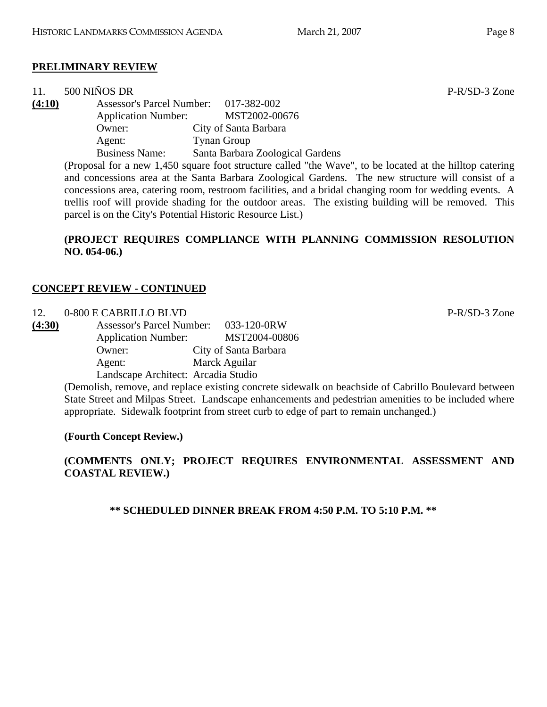# **PRELIMINARY REVIEW**

| 11.    | 500 NIÑOS DR               |                                                                                                          | $P-R/SD-3$ Zone |
|--------|----------------------------|----------------------------------------------------------------------------------------------------------|-----------------|
| (4:10) |                            | Assessor's Parcel Number: 017-382-002                                                                    |                 |
|        | <b>Application Number:</b> | MST2002-00676                                                                                            |                 |
|        | Owner:                     | City of Santa Barbara                                                                                    |                 |
|        | Agent:                     | <b>Tynan Group</b>                                                                                       |                 |
|        | <b>Business Name:</b>      | Santa Barbara Zoological Gardens                                                                         |                 |
|        |                            | (Proposal for a new 1,450 square foot structure called "the Wave", to be located at the hilltop catering |                 |
|        |                            | and concessions area at the Santa Barbara Zoological Gardens. The new structure will consist of a        |                 |

and concessions area at the Santa Barbara Zoological Gardens. The new structure will consist of a concessions area, catering room, restroom facilities, and a bridal changing room for wedding events. A trellis roof will provide shading for the outdoor areas. The existing building will be removed. This parcel is on the City's Potential Historic Resource List.)

#### **(PROJECT REQUIRES COMPLIANCE WITH PLANNING COMMISSION RESOLUTION NO. 054-06.)**

#### **CONCEPT REVIEW - CONTINUED**

#### 12. 0-800 E CABRILLO BLVD P-R/SD-3 Zone

**(4:30)** Assessor's Parcel Number: 033-120-0RW Application Number: MST2004-00806 Owner: City of Santa Barbara Agent: Marck Aguilar Landscape Architect: Arcadia Studio

> (Demolish, remove, and replace existing concrete sidewalk on beachside of Cabrillo Boulevard between State Street and Milpas Street. Landscape enhancements and pedestrian amenities to be included where appropriate. Sidewalk footprint from street curb to edge of part to remain unchanged.)

#### **(Fourth Concept Review.)**

#### **(COMMENTS ONLY; PROJECT REQUIRES ENVIRONMENTAL ASSESSMENT AND COASTAL REVIEW.)**

**\*\* SCHEDULED DINNER BREAK FROM 4:50 P.M. TO 5:10 P.M. \*\***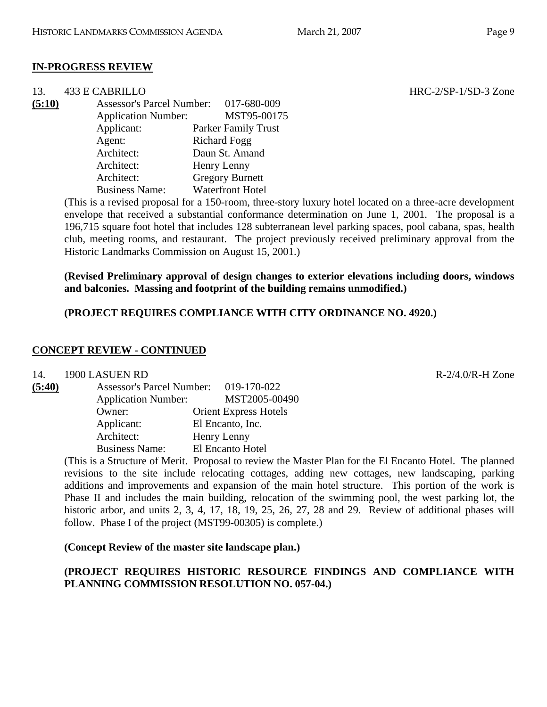#### **IN-PROGRESS REVIEW**

| 13.    | 433 E CABRILLO                   |                            |
|--------|----------------------------------|----------------------------|
| (5:10) | <b>Assessor's Parcel Number:</b> | 017-680-009                |
|        | <b>Application Number:</b>       | MST95-00175                |
|        | Applicant:                       | <b>Parker Family Trust</b> |
|        | Agent:                           | <b>Richard Fogg</b>        |
|        | Architect:                       | Daun St. Amand             |
|        | Architect:                       | Henry Lenny                |
|        | Architect:                       | <b>Gregory Burnett</b>     |
|        | <b>Business Name:</b>            | <b>Waterfront Hotel</b>    |

(This is a revised proposal for a 150-room, three-story luxury hotel located on a three-acre development envelope that received a substantial conformance determination on June 1, 2001. The proposal is a 196,715 square foot hotel that includes 128 subterranean level parking spaces, pool cabana, spas, health club, meeting rooms, and restaurant. The project previously received preliminary approval from the Historic Landmarks Commission on August 15, 2001.)

**(Revised Preliminary approval of design changes to exterior elevations including doors, windows and balconies. Massing and footprint of the building remains unmodified.)** 

#### **(PROJECT REQUIRES COMPLIANCE WITH CITY ORDINANCE NO. 4920.)**

#### **CONCEPT REVIEW - CONTINUED**

14. 1900 LASUEN RD R-2/4.0/R-H Zone

| (5:40) | <b>Assessor's Parcel Number:</b> | 019-170-022                  |  |
|--------|----------------------------------|------------------------------|--|
|        | <b>Application Number:</b>       | MST2005-00490                |  |
|        | Owner:                           | <b>Orient Express Hotels</b> |  |
|        | Applicant:                       | El Encanto, Inc.             |  |
|        | Architect:                       | Henry Lenny                  |  |
|        | <b>Business Name:</b>            | El Encanto Hotel             |  |

(This is a Structure of Merit. Proposal to review the Master Plan for the El Encanto Hotel. The planned revisions to the site include relocating cottages, adding new cottages, new landscaping, parking additions and improvements and expansion of the main hotel structure. This portion of the work is Phase II and includes the main building, relocation of the swimming pool, the west parking lot, the historic arbor, and units 2, 3, 4, 17, 18, 19, 25, 26, 27, 28 and 29. Review of additional phases will follow. Phase I of the project (MST99-00305) is complete.)

**(Concept Review of the master site landscape plan.)** 

#### **(PROJECT REQUIRES HISTORIC RESOURCE FINDINGS AND COMPLIANCE WITH PLANNING COMMISSION RESOLUTION NO. 057-04.)**

 $HRC-2/SP-1/SD-3$  Zone